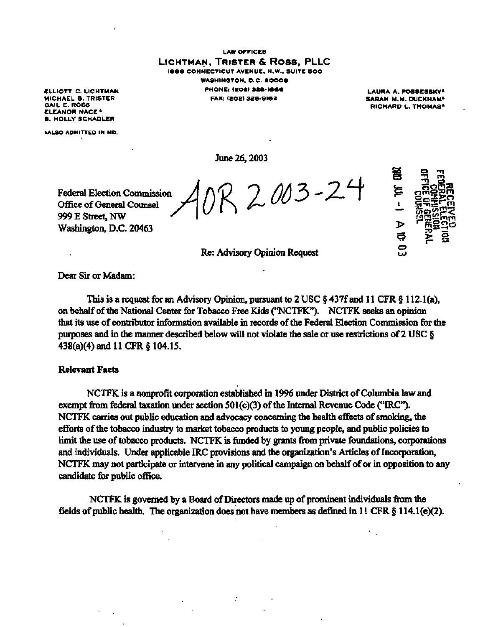LAW OFFICES **LICHTMAN , TRISTE R & Ross, PLLC**  1666 CONNECTICUT AVENUE, N.W., SUITE 500 WASHINGTON, D.C. **2000 9**  PHONE: (202)328-166 6 **FAX: (202) 32B-9I62** 

ELLIOTT C. LICHTMAN MICHAEL B. TRISTER GAIL E. ROSS ELEANOR NACE \* B. HOLLY SCHADLER

'ALSO ADMITTED IN MD.

**June 26,2003** 

**Federal Election Commission Office of General Counsel 999 E Street, NW Washington, D.C. 20463** 

tission  $A$ OR 2 003-2  $\overline{4}$ 



**LAURA A.** POSSESSKY\* SARAH M.M. DUCKHAM<sup>A</sup> **RICHARD L. THOMAS<sup>4</sup>** 

**Re: Advisory Opinion Request** 

Dear Sir or Madam:

This is a request for an Advisory Opinion, pursuant to 2 USC § 437f and 11 CFR § 112.1(a), on behalf of the National Center for Tobacco Free Kids ("NCTFK"). NCTFK seeks an opinion that its use of contributor information available in records of the Federal Election Commission for the purposes and in the manner described below will not violate the sale or use restrictions of 2 USC § 438(a)(4) and 11 CFR § 104.15.

### Relevant Facts

NCTFK is a nonprofit corporation established in 1996 under District of Columbia law and exempt from federal taxation under section 501(c)(3) of the Internal Revenue Code ("IRC"). NCTFK carries out public education and advocacy concerning the health effects of smoking, the efforts of the tobacco industry to market tobacco products to young people, and public policies to limit the use of tobacco products. NCTFK is funded by grants from private foundations, corporations and individuals. Under applicable IRC provisions and the organization's Articles of Incorporation, NCTFK may not participate or intervene in any political campaign on behalf of or in opposition to any candidate for public office.

NCTFK is governed by a Board of Directors made up of prominent individuals from the fields of public health. The organization does not have members as defined in 11 CFR § 114.1(e)(2).

÷,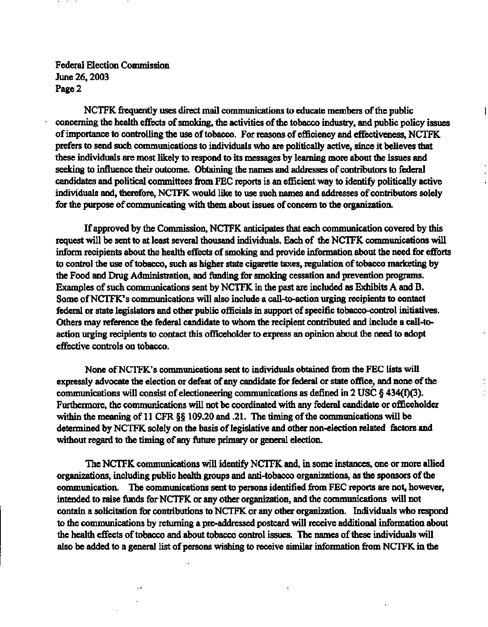**NCTFK frequently uses direct mail communications to educate members of the public concerning the health effects of smoking, the activities of the tobacco industry, and public policy issues of importance to controlling the use of tobacco. For reasons of efficiency and effectiveness, NCTFK prefers to send such communications to individuals who are politically active, since it believes that these individuals are most likely to respond to its messages by learning more about the issues and seeking to influence their outcome. Obtaining the names and addresses of contributors to federal candidates and political committees from FEC reports is an efficient way to identify politically active individuals and, therefore, NCTFK would like to use such names and addresses of contributors solely for the purpose of communicating with them about issues of concern to the organization.** 

 $\overline{\phantom{a}}$ 

**If approved by the Commission, NCTFK anticipates that each communication covered by this request will be sent to at least several thousand individuals. Each of the NCTFK communications will inform recipients about the health effects of smoking and provide information about the need for efforts to control the use of tobacco, such as higher state cigarette taxes, regulation of tobacco marketing by the Food and Drug Administration, and funding for smoking cessation and prevention programs. Examples of such communications sent by NCTFK in the past are included as Exhibits A and B. Some of NCTFK's communications will also include a call-to-action urging recipients to contact federal or state legislators and other public officials in support of specific tobacco-control initiatives. Others may reference the federal candidate to whom the recipient contributed and include a call-toaction urging recipients to contact this officeholder to express an opinion about the need to adopt effective controls on tobacco.** 

**None of NCTFK's communications sent to individuals obtained from the FEC lists will expressly advocate the election or defeat of any candidate for federal or state office, and none of the communications will consist of electioneering communications as defined in 2 USC § 434(f)(3). Furthermore, the communications will not be coordinated with any federal candidate or officeholder within the meaning of 11 CFR §§ 109.20 and .21. The timing of the communications will be determined by NCTFK solely on the basis of legislative and other non-election related factors and without regard to the timing of any future primary or general election.** 

**The NCTFK communications will identify NCTFK and, in some instances, one or more allied organizations, including public health groups and anti-tobacco organizations, as the sponsors of the communication. The communications sent to persons identified from FEC reports are not, however, intended to raise funds for NCTFK or any other organization, and the communications will not contain a solicitation for contributions to NCTFK or any other organization. Individuals who respond to the communications by returning a pre-addressed postcard will receive additional information about the health effects of tobacco and about tobacco control issues. The names of these individuals will also be added to a general list of persons wishing to receive similar information from NCTFK in the**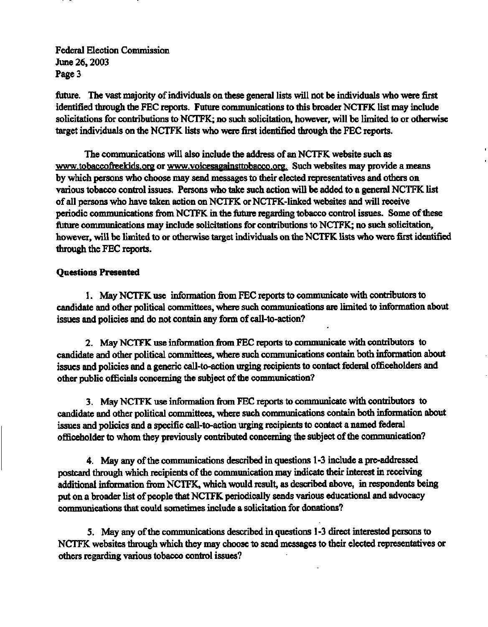future. The vast majority of individuals on these general lists will not be individuals who were first identified through the FEC reports. Future communications to this broader NCTFK list may include solicitations for contributions to NCTFK; no such solicitation, however, will be limited to or otherwise target individuals on the NCTFK lists who were first identified through the FEC reports.

The communications will also include the address of an NCTFK website such as [www.tobaccofreekids.org o](http://www.tobaccofreekids.org)r www.voicesagainsttobacco.org. Such websites may provide a means by which persons who choose may send messages to their elected representatives and others on various tobacco control issues. Persons who take such action will be added to a general NCTFK list of all persons who have taken action on NCTFK or NCTFK-linked websites and will receive periodic communications from NCTFK in the future regarding tobacco control issues. Some of these future communications may include solicitations for contributions to NCTFK; no such solicitation, however, will be limited to or otherwise target individuals on the NCTFK lists who were first identified through the FEC reports.

## **Questions Presented**

1. May NCTFK use information from FEC reports to communicate with contributors to candidate and other political committees, where such communications are limited to information about issues and policies and do not contain any form of call-to-action?

2. May NCTFK use information from FEC reports to communicate with contributors to candidate and other political committees, where such communications contain both information about issues and policies and a generic call-to-action urging recipients to contact federal officeholders and other public officials concerning the subject of the communication?

3. May NCTFK use information from FEC reports to communicate with contributors to candidate and other political committees, where such communications contain both information about issues and policies and a specific call-to-action urging recipients to contact a named federal officeholder to whom they previously contributed concerning the subject of the communication?

4. May any of the communications described in questions 1-3 include a pre-addressed postcard through which recipients of the communication may indicate their interest in receiving additional information from NCTFK, which would result, as described above, in respondents being put on a broader list of people that NCTFK periodically sends various educational and advocacy communications that could sometimes include a solicitation for donations?

5. May any of the communications described in questions 1-3 direct interested persons to NCTFK websites through which they may choose to send messages to their elected representatives or others regarding various tobacco control issues?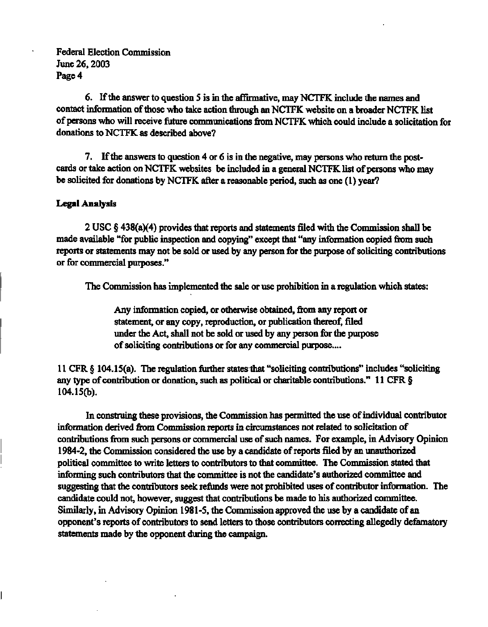**6. If the answer to question 5 is in the affirmative, may NCTFK include the names and contact information of those who take action through an NCTFK website on a broader NCTFK list of persons who will receive future communications from NCTFK which could include a solicitation for donations to NCTFK as described above?** 

**7. If the answers to question 4 or 6 is in the negative, may persons who return the postcards or take action on NCTFK websites be included in a general NCTFK list of persons who may be solicited for donations by NCTFK after a reasonable period, such as one (1) year?** 

## **Legal Analysis**

**2 USC § 438(a)(4) provides that reports and statements filed with the Commission shall be made available "for public inspection and copying" except that "any information copied from such reports or statements may not be sold or used by any person for the purpose of soliciting contributions or for commercial purposes."** 

**The Commission has implemented the sale or use prohibition in a regulation which states:** 

**Any information copied, or otherwise obtained, from any report or statement, or any copy, reproduction, or publication thereof, filed under the Act, shall not be sold or used by any person for the purpose of soliciting contributions or for any commercial purpose....** 

**11 CFR § 104.15(a). The regulation further states that "soliciting contributions" includes "soliciting any type of contribution or donation, such as political or charitable contributions." 11 CFR § 104.15(b).** 

**In construing these provisions, the Commission has permitted the use of individual contributor information derived from Commission reports in circumstances not related to solicitation of contributions from such persons or commercial use of such names. For example, in Advisory Opinion 1984-2, the Commission considered the use by a candidate of reports filed by an unauthorized political committee to write letters to contributors to that committee. The Commission stated that informing such contributors that the committee is not the candidate's authorized committee and suggesting that the contributors seek refunds were not prohibited uses of contributor information. The candidate could not, however, suggest that contributions be made to his authorized committee. Similarly, in Advisory Opinion 1981-5, the Commission approved the use by a candidate of an opponent's reports of contributors to send letters to those contributors correcting allegedly defamatory statements made by the opponent during the campaign.**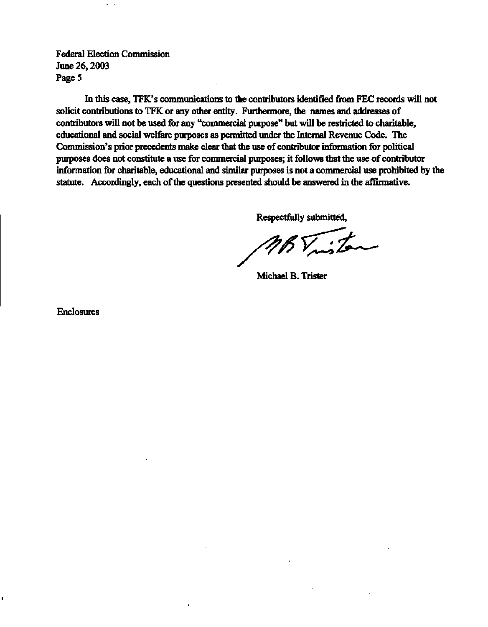**In this case, TFK's communications to the contributors identified from FEC records will not solicit contributions to TFK or any other entity. Furthermore, the names and addresses of contributors will not be used for any "commercial purpose" but will be restricted to charitable, educational and social welfare purposes as permitted under the Internal Revenue Code. The Commission's prior precedents make clear that the use of contributor information for political purposes does not constitute a use for commercial purposes; it follows that the use of contributor information for charitable, educational and similar purposes is not a commercial use prohibited by the statute. Accordingly, each of the questions presented should be answered in the affirmative.** 

**Respectfully submitted,** 

**Michael B. Trister** 

**Enclosures** 

i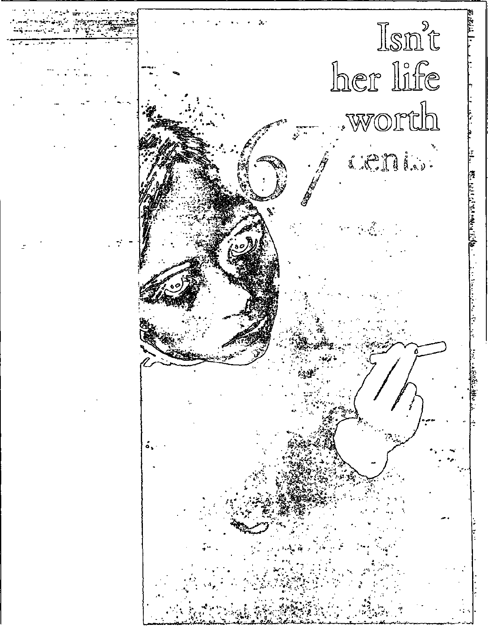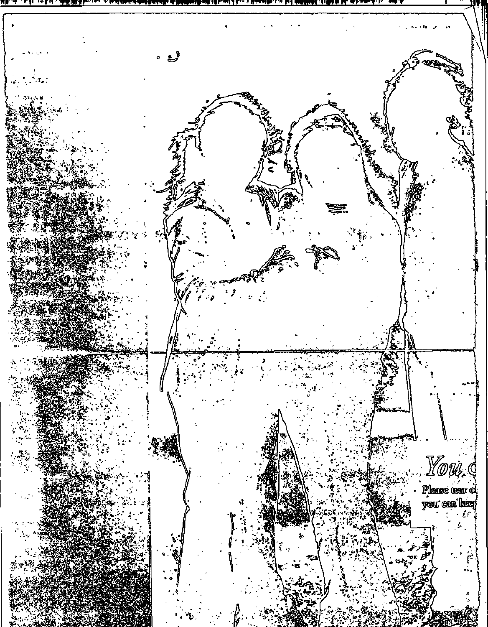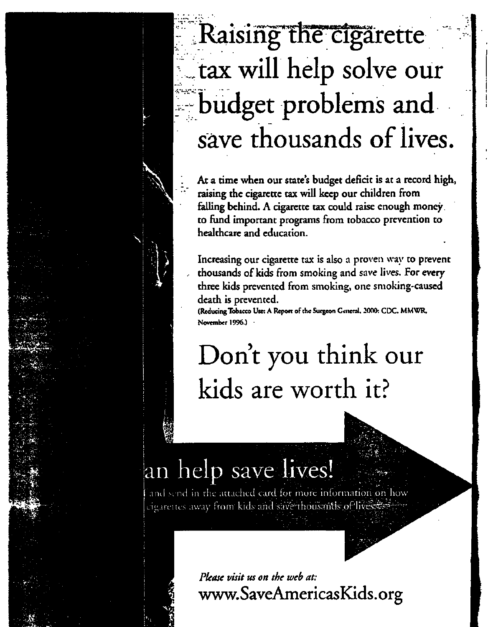# **T X . •. -• -** *m^'nc^^v^saRimffyitsfrl'i&t*  **Kaising tne cigarette tax will help solve our budget problems and save thousands of lives.**

At a time when our state's budget deficit is at a record high, **raising the cigarette tax will keep our children from falling behind. A cigarette tax could raise enough money to fund important programs from tobacco prevention to healthcare and education.** 

**Increasing our cigarette tax is** also a proven **way to prevent thousands of kids from smoking and** save lives. **For every three kids prevented from smoking,** one **smoking-caused death is prevented.** 

**(Reducing Tobacco Use: A Report of the Surgeon General. 2000: CDC. MMWR, November 1996.)** 

# **Don't you think our kids are worth** it?

# an help save lives!

and send in the attached card'for more information ,on how cigarettes away from kids and save thousantls of lives as

> *Please visit us on the web at:*  www. SaveAmericasKids. org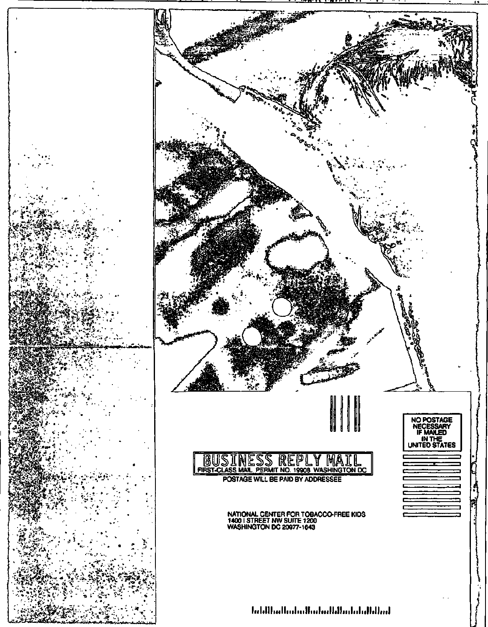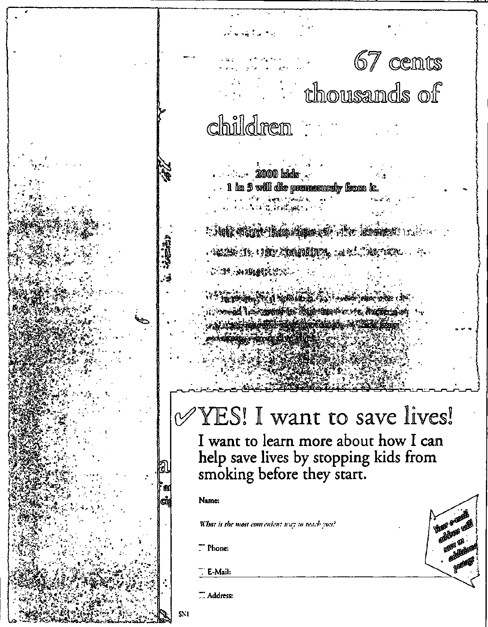# 67 cents **Constitution of the Constitution of the Constitution** children

<u>2000 bids .</u> . 1 in 3 will die premovedy from it.

**Obels Stand Their Appen of About the Library Product** LINGS IN THE COMMITTE, AND CONTROL PRO **MILL AND CONTRACTOR** 

oùd de Seannaithea Agricultus de ce de Barthagain

# YES! I want to save lives!

I want to learn more about how I can help save lives by stopping kids from smoking before they start.

**Buret' Greaters** 

enhans an **SOUTH THE** 

ell

## Name:

What is the most convenient way to reach you?

Phone:

E-Mail:

 $\overline{...}$  Address:

SNI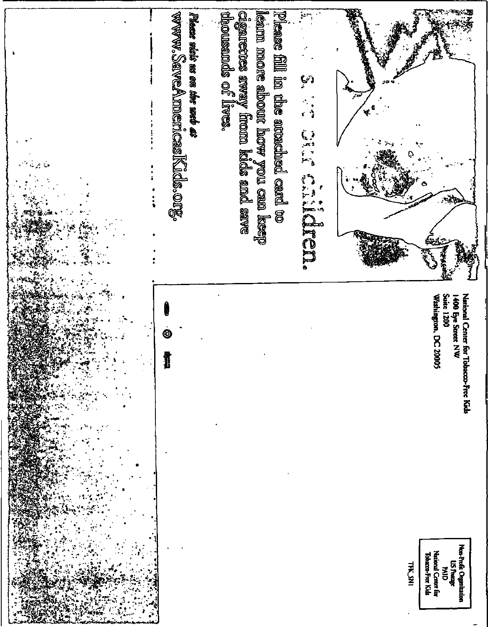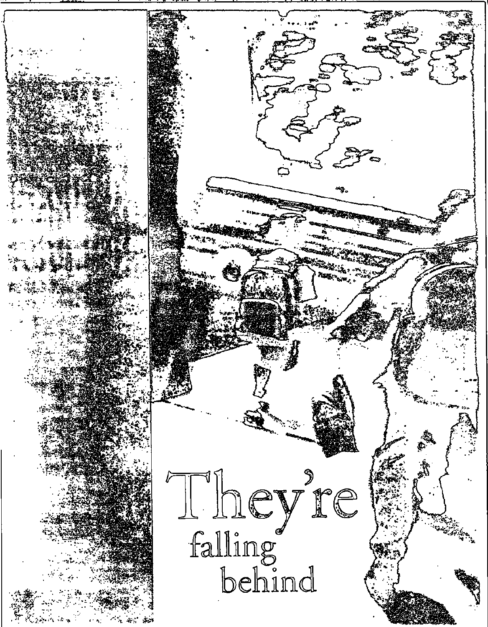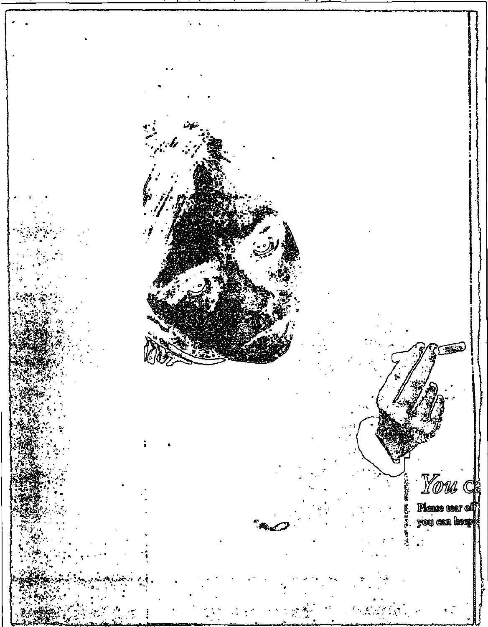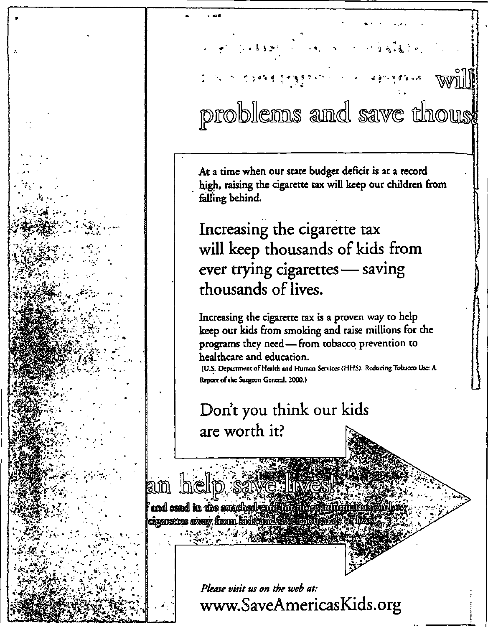## $\mathbb{R}^2 \times \mathbb{R}$ .<br>No p WJ problems and save thouse

At a time when our state budget deficit is at a record high, raising the cigarette tax will keep our children from falling behind.

Increasing the cigarette tax will keep thousands of kids from ever trying cigarettes - saving thousands of lives.

Increasing the cigarette tax is a proven way to help keep our kids from smoking and raise millions for the programs they need - from tobacco prevention to healthcare and education.

(U.S. Department of Health and Human Services (HHS). Reducing Tobacco Use: A Report of the Surgeon General, 2000.)

Don't you think our kids are worth it?

help save in amd send in the accordned cardinal or in organization con-concigarences away from kids and

> Please visit us on the web at: www.SaveAmericasKids.org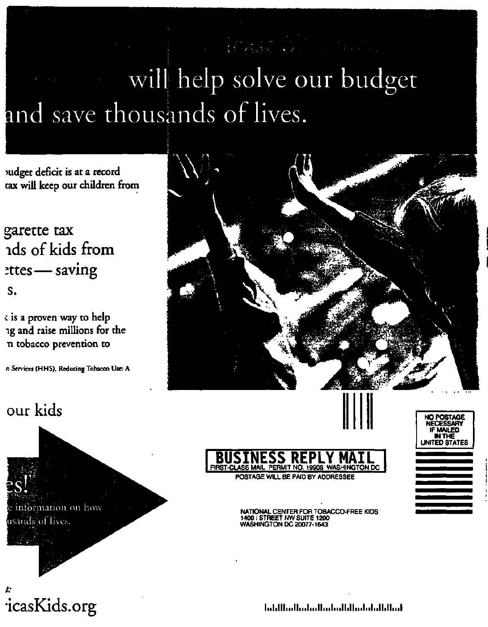# will help solve our budget and save thousands of lives.

**mdget deficit is at a record cax will keep our children from** 

garette tax ids of kids from  $z$ ttes — saving s.

**^ is a proven way to help ig and raise millions for the TI tobacco prevention to** 

**n Services (HHS), Reducing Tobacco Use: A** 



## our kids







NATIONAL CENTER FOR TOBACCO-FREE KIDS 1400 I STREET NW SUITE 1200 WASHINGTON DC 20077-1643

**NO POSTAGE NECESSARY**  IF **MAILED IN THE**  UNITED STATES

[icasKids.org](http://icasKids.org) 

bahlladhahalladadhihabahdhihat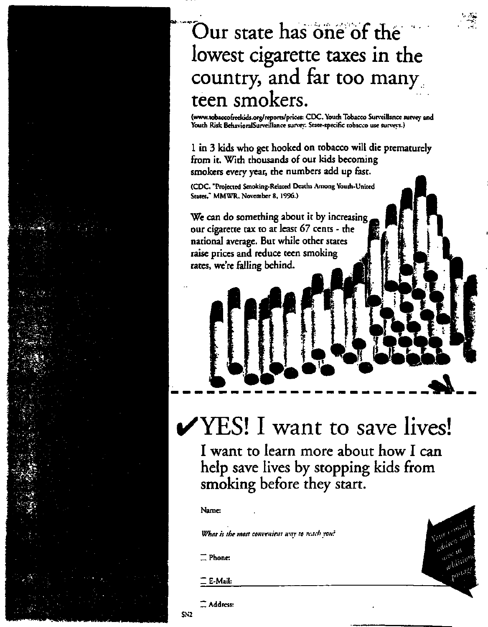## Our state has one of the lowest cigarette taxes in the country, and far too manyteen smokers.

**[\(www.tobaccofreekids.org/reports/prices:](http://www.tobaccofreekids.org/reports/prices) CDC, Youth Tobacco Sun-eillance survey and Youth Risk BehavioralSurveillance survey. State-specific tobacco use surveys.)** 

**1 in 3 kids who get hooked on tobacco will die prematurely from it. With thousands of our kids becoming smokers every year, the numbers add up fast.** 

**(CDC. "Projected Smoking-Related Deaths Among Youth-United States." MMWR. November 8. 1996.)** 

**We can do something about it by increasing our cigarette tax to at least** *67* **cents - the national average. But while other states raise prices and reduce teen smoking rates, we're falling behind.** 

# $\checkmark$  YES! I want to save lives!

>••• •

I want to learn more about how I can help save lives by stopping kids from smoking before they start.

> Your Sugar out 11 (110)  $\frac{d^{11/2}}{dt^{1/2}}$  115  $\frac{d^{10}}{dt^{10}}$

### **Name:**

*What is the most convenient way to read'you':* 

**Z Phone:** 

E-Mail:

 $\mathbb Z$  Address: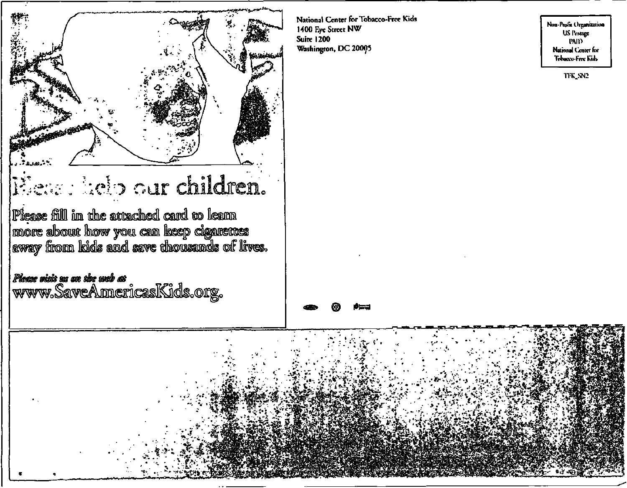

National Center for Tobacco-Free Kids 1400 Eye Street NW **Suire 1200** Washington, DC 20005

Non-Profit Organization **US** Postage **PAID** National Center for Tobacco-Free Kids

TFK\_SN2

## Seas : help our children.

Piease fill in the attached card to learn | more about how you can keep cigarettes<br>| away from kids and save thousands of lives.

Please siste su an che sueb ar<br>www.SaveAnnericasKids.org.

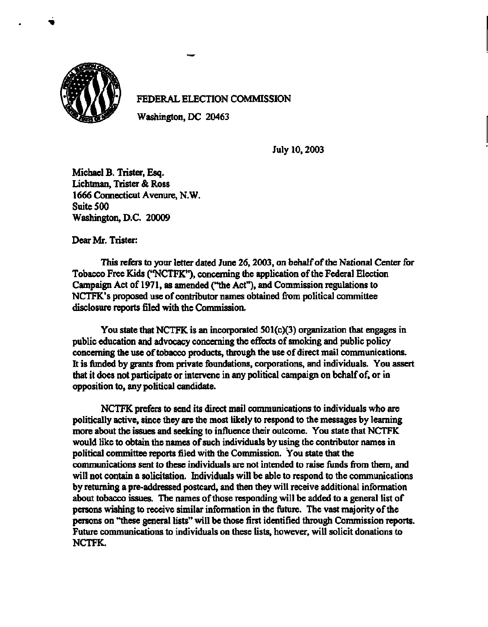

## **FEDERAL ELECTION COMMISSION**

**Washington, DC 20463** 

**July 10,2003** 

**Michael B. Trister, Esq. Lichtman, Trister & Ross 1666 Connecticut Avenure, N.W. Suite 500 Washington, D.C. 20009** 

**Dear Mr. Trister:** 

**This refers to your letter dated June 26,2003, on behalf of the National Center for Tobacco Free Kids ('TOCTFK"), concerning the application of the Federal Election Campaign Act of 1971, as amended ("the Act"), and Commission regulations to NCTFK's proposed use of contributor names obtained from political committee disclosure reports filed with the Commission.** 

**You state that NCTFK is an incorporated 501(c)(3) organization that engages in public education and advocacy concerning the effects of smoking and public policy concerning the use of tobacco products, through the use of direct mail communications. It is funded by grants from private foundations, corporations, and individuals. You assert that it does not participate or intervene in any political campaign on behalf of, or in opposition to, any political candidate.** 

**NCTFK prefers to send its direct mail communications to individuals who are politically active, since they are the most likely to respond to the messages by learning more about the issues and seeking to influence their outcome. You state that NCTFK would like to obtain the names of such individuals by using the contributor names in political committee reports filed with the Commission. You state that the communications sent to these individuals are not intended to raise funds from them, and will not contain a solicitation. Individuals will be able to respond to the communications by returning a pre-addressed postcard, and then they will receive additional information about tobacco issues. The names of those responding will be added to a general list of persons wishing to receive similar information in the future. The vast majority of the persons on "these general lists" will be those first identified through Commission reports. Future communications to individuals on these lists, however, will solicit donations to NCTFK.**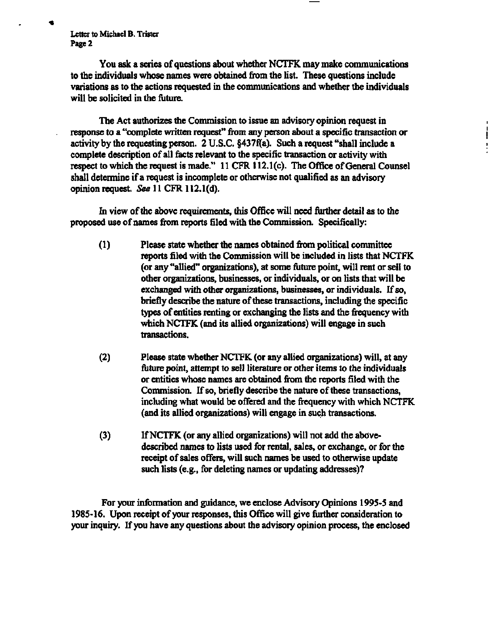**Letter to Michael B. Trister Page 2** 

**4** 

**You ask a series of questions about whether NCTFK may make communications to the individuals whose names were obtained from the list. These questions include variations as to the actions requested in the communications and whether the individuals will be solicited in the future.** 

**The Act authorizes the Commission to issue an advisory opinion request in response to a "complete written request" from any person about a specific transaction or activity by the requesting person. 2 U.S.C. §437f(a). Such a request "shall include a complete description of all facts relevant to the specific transaction or activity with respect to which the request is made." 11 CFR 112.1(c). The Office of General Counsel shall determine if a request is incomplete or otherwise not qualified as an advisory opinion request.** *See* **11 CFR 112.1(d).** 

**In view of the above requirements, this Office will need further detail as to the proposed use of names from reports filed with the Commission. Specifically:** 

- **(1) Please state whether the names obtained from political committee reports filed with the Commission will be included in lists that NCTFK (or any "allied" organizations), at some future point, will rent or sell to other organizations, businesses, or individuals, or on lists that will be exchanged with other organizations, businesses, or individuals. If so, briefly describe the nature of these transactions, including the specific types of entities renting or exchanging the lists and the frequency with which NCTFK (and its allied organizations) will engage in such transactions.**
- **(2) Please state whether NCTFK (or any allied organizations) will, at any future point, attempt to sell literature or other items to the individuals or entities whose names are obtained from the reports filed with the Commission. If so, briefly describe the nature of these transactions, including what would be offered and the frequency with which NCTFK (and its allied organizations) will engage in such transactions.**
- **(3) If NCTFK (or any allied organizations) will not add the abovedescribed names to lists used for rental, sales, or exchange, or for the receipt of sales offers, will such names be used to otherwise update such lists (e.g., for deleting names or updating addresses)?**

**For your information and guidance, we enclose Advisory Opinions 1995-5 and 1985-16. Upon receipt of your responses, this Office will give further consideration to your inquiry. If you have any questions about the advisory opinion process, the enclosed**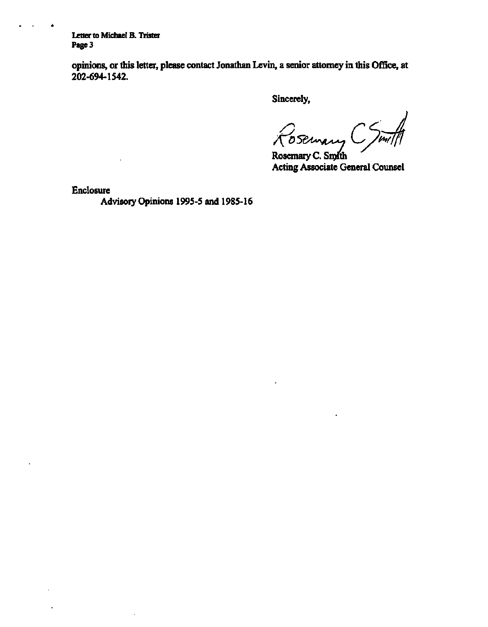**Letter to Michael B. Trister Page 3** 

 $\rightarrow$ 

 $\bullet$ 

**opinions, or this letter, please contact Jonathan Levin, a senior attorney in this Office, at 202-694-1542.** 

**Sincerely,** 

*^05&~AS^ Ls/fiV.* 

**Rosemary** C. Snyth **Acting Associate General Counsel** 

**Enclosure** 

**Advisory Opinions 1995-5 and 1985-16** 

 $\overline{1}$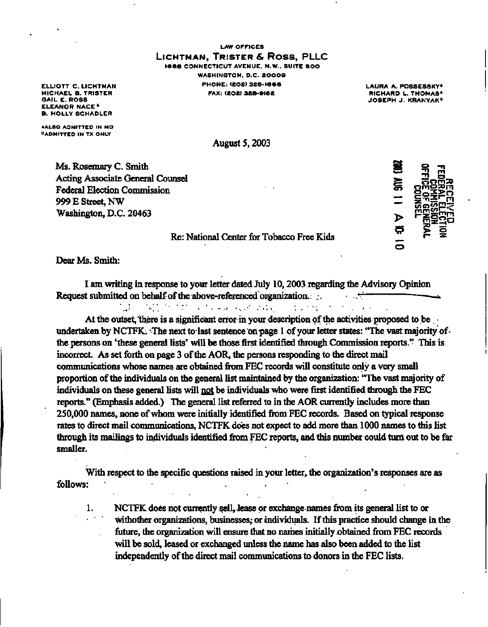**LAW OFFICES LICHTMAN , TRISTE R & Ross, PLLC 166 6 CONNECTICUT AVENUE. N.W.. SUITE SOO WASHINGTON, D.C. 8000 9 ELLIOTT C. LICHTMAN PHONE: (EOS) 32B-I66 6** 

**LAURA A.POSSESSKY\* RICHARD L. THOMAS\* JOSEPH J. KRANYAK"** 

**MICHAEL B. TRISTER GAIL E. ROSS ELEANOR NACE \* B. HOLLY SCHADLER** 

**AALSO ADMITTED IN MD "ADMITTED IN TX ONLY** 

**August 5,2003** 

**Ms. Rosemary C. Smith Acting Associate General Counsel Federal Election Commission 999 E Street, NW Washington, D.C. 20463** 



## **Re: National Center for Tobacco Free Kids**

**Dear Ms. Smith:** 

**I am writing in response to your letter dated July 10,2003 regarding the Advisory Opinion Request submitted on behalf of the above-referenced organization. .;. r • u** 

 $\mathcal{L}(\mathcal{L}^{\mathcal{L}})$  , and the set of the set of the set of the set of the set of the set of the set of the set of the set of the set of the set of the set of the set of the set of the set of the set of the set of the s

**At the outset, there is a significant error in your description of the activities proposed to be • undertaken by NCTFK. The next to last sentence on page 1 of your letter states: "The vast majority of**the persons on 'these general lists' will be those first identified through Commission reports." This is **incorrect. As set forth on page 3 of the AOR, the persons responding to the direct mail communications whose names are obtained from FEC records will constitute only a very small proportion of the individuals on the general list maintained by the organization: "The vast majority of individuals on these general lists will not be individuals who were first identified through the FEC reports." (Emphasis added.) The general list referred to in the AOR currently includes more than 250,000 names, none of whom were initially identified from FEC records. Based on typical response rates to direct mail communications, NCTFK does not expect to add more than 1000 names to this list through its mailings to individuals identified from FEC reports, and this number could turn out to be far smaller.** 

**With respect to the specific questions raised in your letter, the organization's responses are as follows:** 

**1. NCTFK does not currently sell, lease or exchange names from its general list to or withother organizations, businesses; or individuals. If this practice should change in the future, the organization will ensure that no names initially obtained from FEC records will be sold, leased or exchanged unless the name has also been added to the list independently of the direct mail communications to donors in the FEC lists.**